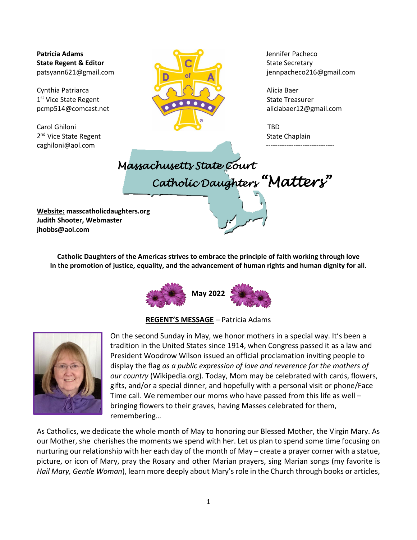[caghiloni@aol.com](mailto:caghiloni@aol.com)



patsyann621@gmail.com jennpacheco216@gmail.com

# *Massachusetts State Court Catholic Daughters "Matters"*

**Website: masscatholicdaughters.org Judith Shooter, Webmaster jhobbs@aol.com**

> **Catholic Daughters of the Americas strives to embrace the principle of faith working through love In the promotion of justice, equality, and the advancement of human rights and human dignity for all.**



**REGENT'S MESSAGE** – Patricia Adams



On the second Sunday in May, we honor mothers in a special way. It's been a tradition in the United States since 1914, when Congress passed it as a law and President Woodrow Wilson issued an official proclamation inviting people to display the flag *as a public expression of love and reverence for the mothers of our country* (Wikipedia.org). Today, Mom may be celebrated with cards, flowers, gifts, and/or a special dinner, and hopefully with a personal visit or phone/Face Time call. We remember our moms who have passed from this life as well – bringing flowers to their graves, having Masses celebrated for them, remembering…

As Catholics, we dedicate the whole month of May to honoring our Blessed Mother, the Virgin Mary. As our Mother, she cherishes the moments we spend with her. Let us plan to spend some time focusing on nurturing our relationship with her each day of the month of May – create a prayer corner with a statue, picture, or icon of Mary, pray the Rosary and other Marian prayers, sing Marian songs (my favorite is *Hail Mary, Gentle Woman*), learn more deeply about Mary's role in the Church through books or articles,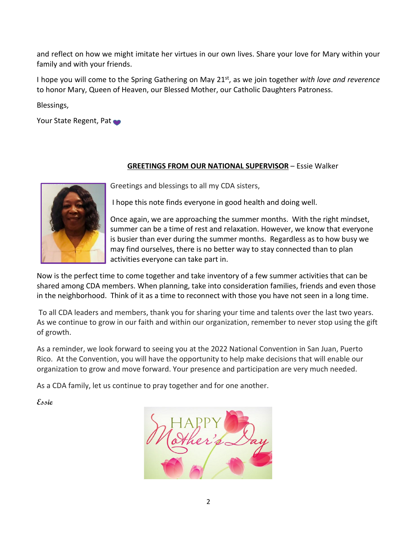and reflect on how we might imitate her virtues in our own lives. Share your love for Mary within your family and with your friends.

I hope you will come to the Spring Gathering on May 21st, as we join together *with love and reverence* to honor Mary, Queen of Heaven, our Blessed Mother, our Catholic Daughters Patroness.

Blessings,

Your State Regent, Pat

## **GREETINGS FROM OUR NATIONAL SUPERVISOR** – Essie Walker



Greetings and blessings to all my CDA sisters,

I hope this note finds everyone in good health and doing well.

Once again, we are approaching the summer months. With the right mindset, summer can be a time of rest and relaxation. However, we know that everyone is busier than ever during the summer months. Regardless as to how busy we may find ourselves, there is no better way to stay connected than to plan activities everyone can take part in.

Now is the perfect time to come together and take inventory of a few summer activities that can be shared among CDA members. When planning, take into consideration families, friends and even those in the neighborhood. Think of it as a time to reconnect with those you have not seen in a long time.

To all CDA leaders and members, thank you for sharing your time and talents over the last two years. As we continue to grow in our faith and within our organization, remember to never stop using the gift of growth.

As a reminder, we look forward to seeing you at the 2022 National Convention in San Juan, Puerto Rico. At the Convention, you will have the opportunity to help make decisions that will enable our organization to grow and move forward. Your presence and participation are very much needed.

As a CDA family, let us continue to pray together and for one another.

**Essie**

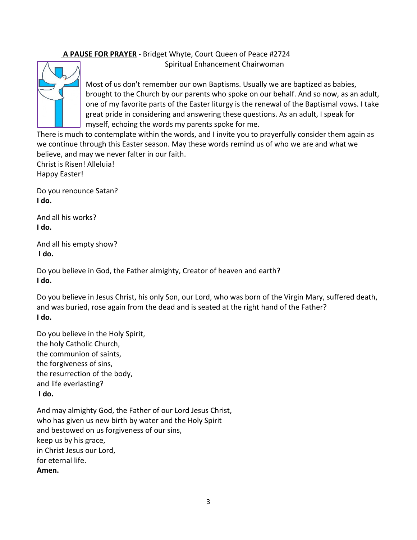#### **A PAUSE FOR PRAYER** - Bridget Whyte, Court Queen of Peace #2724 Spiritual Enhancement Chairwoman



Most of us don't remember our own Baptisms. Usually we are baptized as babies, brought to the Church by our parents who spoke on our behalf. And so now, as an adult, one of my favorite parts of the Easter liturgy is the renewal of the Baptismal vows. I take great pride in considering and answering these questions. As an adult, I speak for myself, echoing the words my parents spoke for me.

There is much to contemplate within the words, and I invite you to prayerfully consider them again as we continue through this Easter season. May these words remind us of who we are and what we believe, and may we never falter in our faith.

Christ is Risen! Alleluia! Happy Easter!

Do you renounce Satan? **I do.**

And all his works? **I do.**

And all his empty show? **I do.**

Do you believe in God, the Father almighty, Creator of heaven and earth? **I do.**

Do you believe in Jesus Christ, his only Son, our Lord, who was born of the Virgin Mary, suffered death, and was buried, rose again from the dead and is seated at the right hand of the Father? **I do.**

Do you believe in the Holy Spirit, the holy Catholic Church, the communion of saints, the forgiveness of sins, the resurrection of the body, and life everlasting? **I do.**

And may almighty God, the Father of our Lord Jesus Christ, who has given us new birth by water and the Holy Spirit and bestowed on us forgiveness of our sins, keep us by his grace, in Christ Jesus our Lord, for eternal life. **Amen.**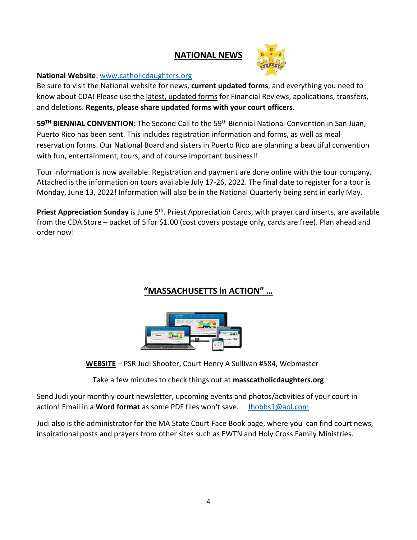# **NATIONAL NEWS**



## **National Website**: [www.catholicdaughters.org](http://www.catholicdaughters.org/)

Be sure to visit the National website for news, **current updated forms**, and everything you need to know about CDA! Please use the latest, updated forms for Financial Reviews, applications, transfers, and deletions. **Regents, please share updated forms with your court officers**.

**59TH BIENNIAL CONVENTION:** The Second Call to the 59th Biennial National Convention in San Juan, Puerto Rico has been sent. This includes registration information and forms, as well as meal reservation forms. Our National Board and sisters in Puerto Rico are planning a beautiful convention with fun, entertainment, tours, and of course important business!!

Tour information is now available. Registration and payment are done online with the tour company. Attached is the information on tours available July 17-26, 2022. The final date to register for a tour is Monday, June 13, 2022! Information will also be in the National Quarterly being sent in early May.

Priest Appreciation Sunday is June 5<sup>th</sup>. Priest Appreciation Cards, with prayer card inserts, are available from the CDA Store – packet of 5 for \$1.00 (cost covers postage only, cards are free). Plan ahead and order now!

# **"MASSACHUSETTS in ACTION" …**



**WEBSITE** – PSR J[udi Shoote](http://www.pngall.com/website-png)r[, Court H](https://creativecommons.org/licenses/by-nc/3.0/)enry A Sullivan #584, Webmaster

Take a few minutes to check things out at **masscatholicdaughters.org**

Send Judi your monthly court newsletter, upcoming events and photos/activities of your court in action! Email in a **Word format** as some PDF files won't save. [Jhobbs1@aol.com](mailto:Jhobbs1@aol.com) 

Judi also is the administrator for the MA State Court Face Book page, where you can find court news, inspirational posts and prayers from other sites such as EWTN and Holy Cross Family Ministries.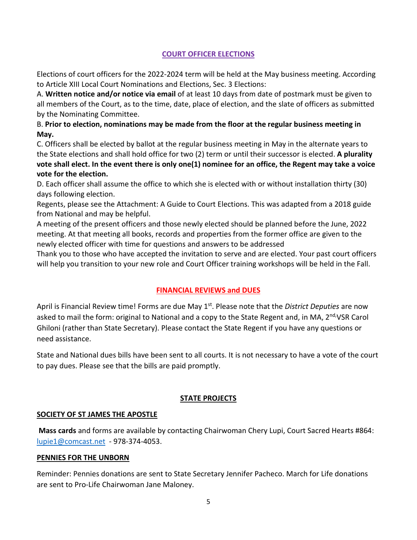## **COURT OFFICER ELECTIONS**

Elections of court officers for the 2022-2024 term will be held at the May business meeting. According to Article XIII Local Court Nominations and Elections, Sec. 3 Elections:

A. **Written notice and/or notice via email** of at least 10 days from date of postmark must be given to all members of the Court, as to the time, date, place of election, and the slate of officers as submitted by the Nominating Committee.

## B. **Prior to election, nominations may be made from the floor at the regular business meeting in May.**

C. Officers shall be elected by ballot at the regular business meeting in May in the alternate years to the State elections and shall hold office for two (2) term or until their successor is elected. **A plurality vote shall elect. In the event there is only one(1) nominee for an office, the Regent may take a voice vote for the election.**

D. Each officer shall assume the office to which she is elected with or without installation thirty (30) days following election.

Regents, please see the Attachment: A Guide to Court Elections. This was adapted from a 2018 guide from National and may be helpful.

A meeting of the present officers and those newly elected should be planned before the June, 2022 meeting. At that meeting all books, records and properties from the former office are given to the newly elected officer with time for questions and answers to be addressed

Thank you to those who have accepted the invitation to serve and are elected. Your past court officers will help you transition to your new role and Court Officer training workshops will be held in the Fall.

## **FINANCIAL REVIEWS and DUES**

April is Financial Review time! Forms are due May 1<sup>st</sup>. Please note that the *District Deputies* are now asked to mail the form: original to National and a copy to the State Regent and, in MA, 2<sup>nd,</sup>VSR Carol Ghiloni (rather than State Secretary). Please contact the State Regent if you have any questions or need assistance.

State and National dues bills have been sent to all courts. It is not necessary to have a vote of the court to pay dues. Please see that the bills are paid promptly.

## **STATE PROJECTS**

## **SOCIETY OF ST JAMES THE APOSTLE**

**Mass cards** and forms are available by contacting Chairwoman Chery Lupi, Court Sacred Hearts #864: [lupie1@comcast.net](mailto:lupie1@comcast.net) - 978-374-4053.

### **PENNIES FOR THE UNBORN**

Reminder: Pennies donations are sent to State Secretary Jennifer Pacheco. March for Life donations are sent to Pro-Life Chairwoman Jane Maloney.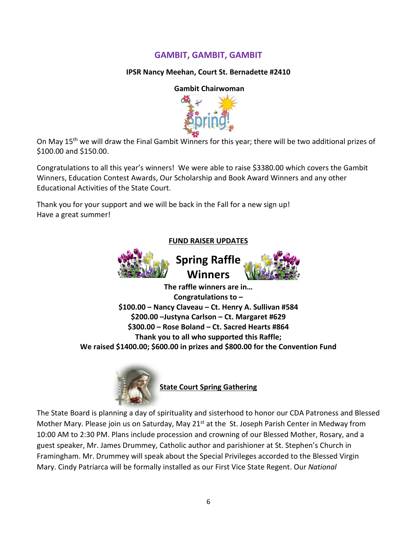# **GAMBIT, GAMBIT, GAMBIT**

## **IPSR Nancy Meehan, Court St. Bernadette #2410**

#### **Gambit Chairwoman**



On May 15th we will draw the Final Gambit Winners for this year; there will be two additional prizes of \$100.00 and \$150.00.

Congratulations to all this year's winners! We were able to raise \$3380.00 which covers the Gambit Winners, Education Contest Awards, Our Scholarship and Book Award Winners and any other Educational Activities of the State Court.

Thank you for your support and we will be back in the Fall for a new sign up! Have a great summer!

**FUND RAISER UPDATES**





**The raffle winners are in… Congratulations to – \$100.00 – Nancy Claveau – Ct. Henry A. Sullivan #584 \$200.00 –Justyna Carlson – Ct. Margaret #629 \$300.00 – Rose Boland – Ct. Sacred Hearts #864 Thank you to all who supported this Raffle; We raised \$1400.00; \$600.00 in prizes and \$800.00 for the Convention Fund**



**State Court Spring Gathering** 

The State Board is planning a day of spirituality and sisterhood to honor our CDA Patroness and Blessed Mother Mary. Please join us on Saturday, May 21<sup>st</sup> at the St. Joseph Parish Center in Medway from 10:00 AM to 2:30 PM. Plans include procession and crowning of our Blessed Mother, Rosary, and a guest speaker, Mr. James Drummey, Catholic author and parishioner at St. Stephen's Church in Framingham. Mr. Drummey will speak about the Special Privileges accorded to the Blessed Virgin Mary. Cindy Patriarca will be formally installed as our First Vice State Regent. Our *National*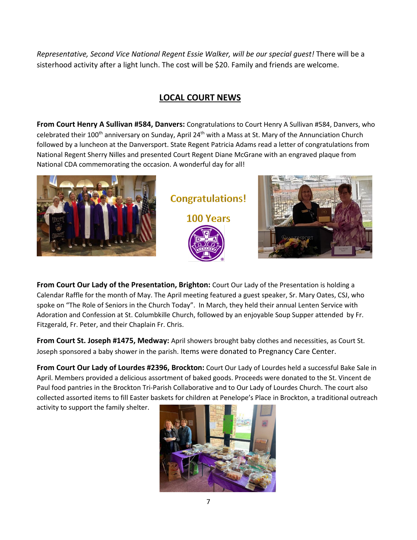*Representative, Second Vice National Regent Essie Walker, will be our special guest!* There will be a sisterhood activity after a light lunch. The cost will be \$20. Family and friends are welcome.

# **LOCAL COURT NEWS**

**From Court Henry A Sullivan #584, Danvers:** Congratulations to Court Henry A Sullivan #584, Danvers, who celebrated their 100<sup>th</sup> anniversary on Sunday, April 24<sup>th</sup> with a Mass at St. Mary of the Annunciation Church followed by a luncheon at the Danversport. State Regent Patricia Adams read a letter of congratulations from National Regent Sherry Nilles and presented Court Regent Diane McGrane with an engraved plaque from National CDA commemorating the occasion. A wonderful day for all!



**Congratulations!** 100 Years



**From Court Our Lady of the Presentation, Brighton:** Court Our Lady of the Presentation is holding a Calendar Raffle for the month of May. The April meeting featured a guest speaker, Sr. Mary Oates, CSJ, who spoke on "The Role of Seniors in the Church Today". In March, they held their annual Lenten Service with Adoration and Confession at St. Columbkille Church, followed by an enjoyable Soup Supper attended by Fr. Fitzgerald, Fr. Peter, and their Chaplain Fr. Chris.

**From Court St. Joseph #1475, Medway:** April showers brought baby clothes and necessities, as Court St. Joseph sponsored a baby shower in the parish. Items were donated to Pregnancy Care Center.

**From Court Our Lady of Lourdes #2396, Brockton:** Court Our Lady of Lourdes held a successful Bake Sale in April. Members provided a delicious assortment of baked goods. Proceeds were donated to the St. Vincent de Paul food pantries in the Brockton Tri-Parish Collaborative and to Our Lady of Lourdes Church. The court also collected assorted items to fill Easter baskets for children at Penelope's Place in Brockton, a traditional outreach

activity to support the family shelter.

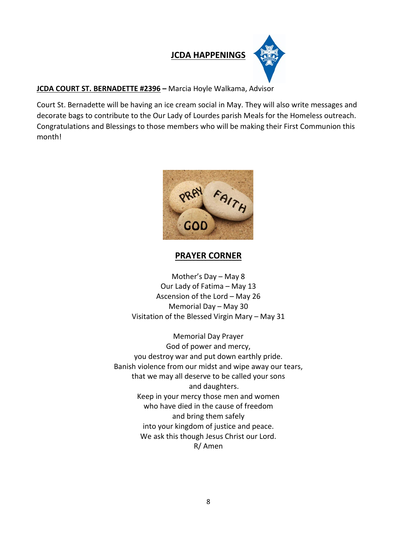

## **JCDA COURT ST. BERNADETTE #2396 –** Marcia Hoyle Walkama, Advisor

Court St. Bernadette will be having an ice cream social in May. They will also write messages and decorate bags to contribute to the Our Lady of Lourdes parish Meals for the Homeless outreach. Congratulations and Blessings to those members who will be making their First Communion this month!



## **PRAYER CORNER**

Mother's Day – May 8 Our Lady of Fatima – May 13 Ascension of the Lord – May 26 Memorial Day – May 30 Visitation of the Blessed Virgin Mary – May 31

Memorial Day Prayer God of power and mercy, you destroy war and put down earthly pride. Banish violence from our midst and wipe away our tears, that we may all deserve to be called your sons and daughters. Keep in your mercy those men and women who have died in the cause of freedom and bring them safely into your kingdom of justice and peace. We ask this though Jesus Christ our Lord. R/ Amen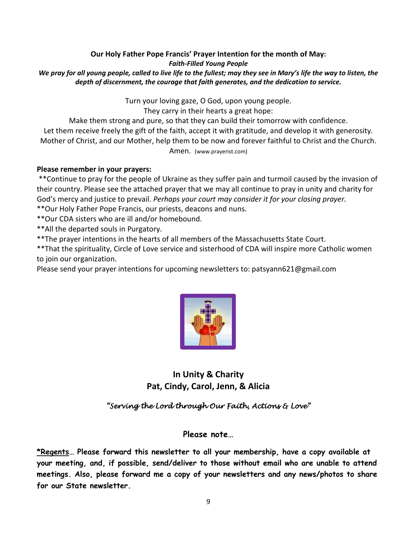### **Our Holy Father Pope Francis' Prayer Intention for the month of May:** *Faith-Filled Young People We pray for all young people, called to live life to the fullest; may they see in Mary's life the way to listen, the depth of discernment, the courage that faith generates, and the dedication to service.*

Turn your loving gaze, O God, upon young people.

They carry in their hearts a great hope:

Make them strong and pure, so that they can build their tomorrow with confidence.

Let them receive freely the gift of the faith, accept it with gratitude, and develop it with generosity. Mother of Christ, and our Mother, help them to be now and forever faithful to Christ and the Church.

Amen. (www.prayerist.com)

## **Please remember in your prayers:**

\*\*Continue to pray for the people of Ukraine as they suffer pain and turmoil caused by the invasion of their country. Please see the attached prayer that we may all continue to pray in unity and charity for God's mercy and justice to prevail. *Perhaps your court may consider it for your closing prayer.*

\*\*Our Holy Father Pope Francis, our priests, deacons and nuns.

\*\*Our CDA sisters who are ill and/or homebound.

\*\*All the departed souls in Purgatory.

\*\*The prayer intentions in the hearts of all members of the Massachusetts State Court.

\*\*That the spirituality, Circle of Love service and sisterhood of CDA will inspire more Catholic women to join our organization.

Please send your prayer intentions for upcoming newsletters to[: patsyann621@gmail.com](mailto:patsyann621@gmail.com)



**In Unity & Charity Pat, Cindy, Carol, Jenn, & Alicia** 

*"Serving the Lord through Our Faith, Actions & Love"* 

## **Please note…**

**\*Regents… Please forward this newsletter to all your membership, have a copy available at your meeting, and, if possible, send/deliver to those without email who are unable to attend meetings. Also, please forward me a copy of your newsletters and any news/photos to share for our State newsletter.**